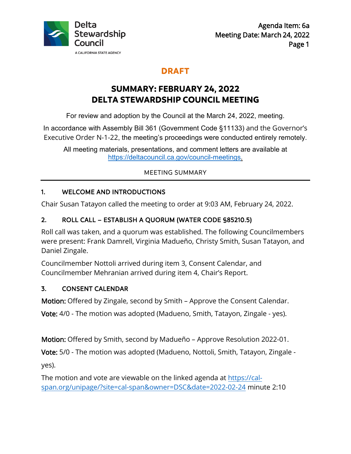

## **DRAFT**

# **SUMMARY: FEBRUARY 24, 2022 DELTA STEWARDSHIP COUNCIL MEETING**

For review and adoption by the Council at the March 24, 2022, meeting.

In accordance with Assembly Bill 361 (Government Code §11133) and the Governor's Executive Order N-1-22, the meeting's proceedings were conducted entirely remotely.

All meeting materials, presentations, and comment letters are available at [https://deltacouncil.ca.gov/council-meetings.](https://deltacouncil.ca.gov/council-meetings)

#### MEETING SUMMARY

## 1. WELCOME AND INTRODUCTIONS

Chair Susan Tatayon called the meeting to order at 9:03 AM, February 24, 2022.

## 2. ROLL CALL – ESTABLISH A QUORUM (WATER CODE §85210.5)

Roll call was taken, and a quorum was established. The following Councilmembers were present: Frank Damrell, Virginia Madueño, Christy Smith, Susan Tatayon, and Daniel Zingale.

Councilmember Nottoli arrived during item 3, Consent Calendar, and Councilmember Mehranian arrived during item 4, Chair's Report.

## 3. CONSENT CALENDAR

Motion: Offered by Zingale, second by Smith – Approve the Consent Calendar.

Vote: 4/0 - The motion was adopted (Madueno, Smith, Tatayon, Zingale - yes).

Motion: Offered by Smith, second by Madueño – Approve Resolution 2022-01.

Vote: 5/0 - The motion was adopted (Madueno, Nottoli, Smith, Tatayon, Zingale -

yes).

The motion and vote [are viewable on the linked agenda at](https://cal-span.org/unipage/?site=cal-span&owner=DSC&date=2022-02-24) https://calspan.org/unipage/?site=cal-span&owner=DSC&date=2022-02-24 minute 2:10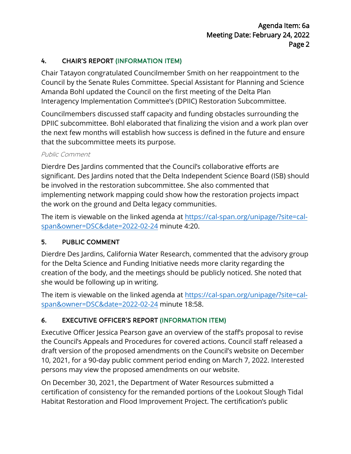#### 4. CHAIR'S REPORT (INFORMATION ITEM)

Chair Tatayon congratulated Councilmember Smith on her reappointment to the Council by the Senate Rules Committee. Special Assistant for Planning and Science Amanda Bohl updated the Council on the first meeting of the Delta Plan Interagency Implementation Committee's (DPIIC) Restoration Subcommittee.

Councilmembers discussed staff capacity and funding obstacles surrounding the DPIIC subcommittee. Bohl elaborated that finalizing the vision and a work plan over the next few months will establish how success is defined in the future and ensure that the subcommittee meets its purpose.

#### Public Comment

Dierdre Des Jardins commented that the Council's collaborative efforts are significant. Des Jardins noted that the Delta Independent Science Board (ISB) should be involved in the restoration subcommittee. She also commented that implementing network mapping could show how the restoration projects impact the work on the ground and Delta legacy communities.

The item is viewable on the linked agenda at [https://cal-span.org/unipage/?site=cal](https://cal-span.org/unipage/?site=cal-span&owner=DSC&date=2022-02-24)[span&owner=DSC&date=2022-02-24 m](https://cal-span.org/unipage/?site=cal-span&owner=DSC&date=2022-02-24)inute 4:20.

## 5. PUBLIC COMMENT

Dierdre Des Jardins, California Water Research, commented that the advisory group for the Delta Science and Funding Initiative needs more clarity regarding the creation of the body, and the meetings should be publicly noticed. She noted that she would be following up in writing.

The item is viewable on the linked agenda at [https://cal-span.org/unipage/?site=cal](https://cal-span.org/unipage/?site=cal-span&owner=DSC&date=2022-02-24)[span&owner=DSC&date=2022-02-24 m](https://cal-span.org/unipage/?site=cal-span&owner=DSC&date=2022-02-24)inute 18:58.

## 6. EXECUTIVE OFFICER'S REPORT (INFORMATION ITEM)

Executive Officer Jessica Pearson gave an overview of the staff's proposal to revise the Council's Appeals and Procedures for covered actions. Council staff released a draft version of the proposed amendments on the Council's website on December 10, 2021, for a 90-day public comment period ending on March 7, 2022. Interested persons may view the proposed amendments on our website.

On December 30, 2021, the Department of Water Resources submitted a certification of consistency for the remanded portions of the Lookout Slough Tidal Habitat Restoration and Flood Improvement Project. The certification's public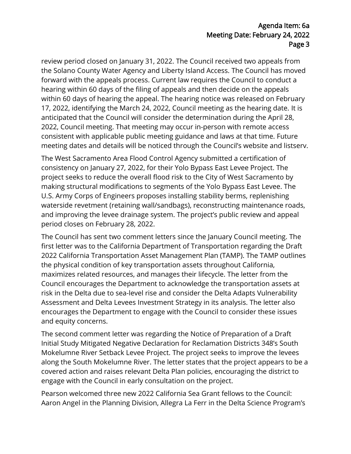#### Agenda Item: 6a Meeting Date: February 24, 2022 Page 3

review period closed on January 31, 2022. The Council received two appeals from the Solano County Water Agency and Liberty Island Access. The Council has moved forward with the appeals process. Current law requires the Council to conduct a hearing within 60 days of the filing of appeals and then decide on the appeals within 60 days of hearing the appeal. The hearing notice was released on February 17, 2022, identifying the March 24, 2022, Council meeting as the hearing date. It is anticipated that the Council will consider the determination during the April 28, 2022, Council meeting. That meeting may occur in-person with remote access consistent with applicable public meeting guidance and laws at that time. Future meeting dates and details will be noticed through the Council's website and listserv.

The West Sacramento Area Flood Control Agency submitted a certification of consistency on January 27, 2022, for their Yolo Bypass East Levee Project. The project seeks to reduce the overall flood risk to the City of West Sacramento by making structural modifications to segments of the Yolo Bypass East Levee. The U.S. Army Corps of Engineers proposes installing stability berms, replenishing waterside revetment (retaining wall/sandbags), reconstructing maintenance roads, and improving the levee drainage system. The project's public review and appeal period closes on February 28, 2022.

The Council has sent two comment letters since the January Council meeting. The first letter was to the California Department of Transportation regarding the Draft 2022 California Transportation Asset Management Plan (TAMP). The TAMP outlines the physical condition of key transportation assets throughout California, maximizes related resources, and manages their lifecycle. The letter from the Council encourages the Department to acknowledge the transportation assets at risk in the Delta due to sea-level rise and consider the Delta Adapts Vulnerability Assessment and Delta Levees Investment Strategy in its analysis. The letter also encourages the Department to engage with the Council to consider these issues and equity concerns.

The second comment letter was regarding the Notice of Preparation of a Draft Initial Study Mitigated Negative Declaration for Reclamation Districts 348's South Mokelumne River Setback Levee Project. The project seeks to improve the levees along the South Mokelumne River. The letter states that the project appears to be a covered action and raises relevant Delta Plan policies, encouraging the district to engage with the Council in early consultation on the project.

Pearson welcomed three new 2022 California Sea Grant fellows to the Council: Aaron Angel in the Planning Division, Allegra La Ferr in the Delta Science Program's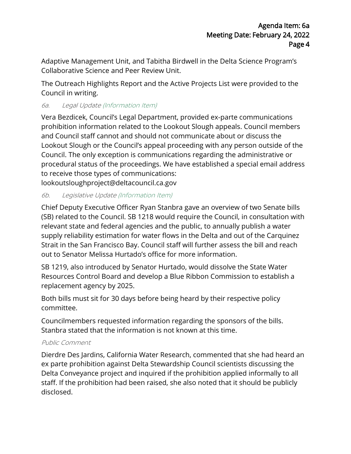Adaptive Management Unit, and Tabitha Birdwell in the Delta Science Program's Collaborative Science and Peer Review Unit.

The Outreach Highlights Report and the Active Projects List were provided to the Council in writing.

#### 6a. Legal Update (Information Item)

Vera Bezdicek, Council's Legal Department, provided ex-parte communications prohibition information related to the Lookout Slough appeals. Council members and Council staff cannot and should not communicate about or discuss the Lookout Slough or the Council's appeal proceeding with any person outside of the Council. The only exception is communications regarding the administrative or procedural status of the proceedings. We have established a special email address to receive those types of communications:

lookoutsloughproject@deltacouncil.ca.gov

#### 6b. Legislative Update (Information Item)

Chief Deputy Executive Officer Ryan Stanbra gave an overview of two Senate bills (SB) related to the Council. SB 1218 would require the Council, in consultation with relevant state and federal agencies and the public, to annually publish a water supply reliability estimation for water flows in the Delta and out of the Carquinez Strait in the San Francisco Bay. Council staff will further assess the bill and reach out to Senator Melissa Hurtado's office for more information.

SB 1219, also introduced by Senator Hurtado, would dissolve the State Water Resources Control Board and develop a Blue Ribbon Commission to establish a replacement agency by 2025.

Both bills must sit for 30 days before being heard by their respective policy committee.

Councilmembers requested information regarding the sponsors of the bills. Stanbra stated that the information is not known at this time.

#### Public Comment

Dierdre Des Jardins, California Water Research, commented that she had heard an ex parte prohibition against Delta Stewardship Council scientists discussing the Delta Conveyance project and inquired if the prohibition applied informally to all staff. If the prohibition had been raised, she also noted that it should be publicly disclosed.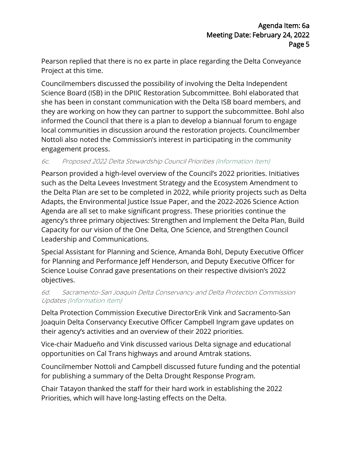Pearson replied that there is no ex parte in place regarding the Delta Conveyance Project at this time.

Councilmembers discussed the possibility of involving the Delta Independent Science Board (ISB) in the DPIIC Restoration Subcommittee. Bohl elaborated that she has been in constant communication with the Delta ISB board members, and they are working on how they can partner to support the subcommittee. Bohl also informed the Council that there is a plan to develop a biannual forum to engage local communities in discussion around the restoration projects. Councilmember Nottoli also noted the Commission's interest in participating in the community engagement process.

#### 6c. Proposed 2022 Delta Stewardship Council Priorities (Information Item)

Pearson provided a high-level overview of the Council's 2022 priorities. Initiatives such as the Delta Levees Investment Strategy and the Ecosystem Amendment to the Delta Plan are set to be completed in 2022, while priority projects such as Delta Adapts, the Environmental Justice Issue Paper, and the 2022-2026 Science Action Agenda are all set to make significant progress. These priorities continue the agency's three primary objectives: Strengthen and Implement the Delta Plan, Build Capacity for our vision of the One Delta, One Science, and Strengthen Council Leadership and Communications.

Special Assistant for Planning and Science, Amanda Bohl, Deputy Executive Officer for Planning and Performance Jeff Henderson, and Deputy Executive Officer for Science Louise Conrad gave presentations on their respective division's 2022 objectives.

#### 6d. Sacramento-San Joaquin Delta Conservancy and Delta Protection Commission Updates (Information Item)

Delta Protection Commission Executive DirectorErik Vink and Sacramento-San Joaquin Delta Conservancy Executive Officer Campbell Ingram gave updates on their agency's activities and an overview of their 2022 priorities.

Vice-chair Madueño and Vink discussed various Delta signage and educational opportunities on Cal Trans highways and around Amtrak stations.

Councilmember Nottoli and Campbell discussed future funding and the potential for publishing a summary of the Delta Drought Response Program.

Chair Tatayon thanked the staff for their hard work in establishing the 2022 Priorities, which will have long-lasting effects on the Delta.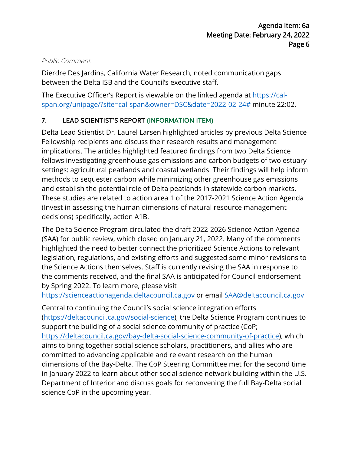#### Public Comment

Dierdre Des Jardins, California Water Research, noted communication gaps between the Delta ISB and the Council's executive staff.

The Executive Officer's Report is viewable on the linked agenda at [https://cal](https://cal-span.org/unipage/?site=cal-span&owner=DSC&date=2022-02-24)[span.org/unipage/?site=cal-span&owner=DSC&date=2022-02-24#](https://cal-span.org/unipage/?site=cal-span&owner=DSC&date=2022-02-24) minute 22:02.

## 7. LEAD SCIENTIST'S REPORT (INFORMATION ITEM)

Delta Lead Scientist Dr. Laurel Larsen highlighted articles by previous Delta Science Fellowship recipients and discuss their research results and management implications. The articles highlighted featured findings from two Delta Science fellows investigating greenhouse gas emissions and carbon budgets of two estuary settings: agricultural peatlands and coastal wetlands. Their findings will help inform methods to sequester carbon while minimizing other greenhouse gas emissions and establish the potential role of Delta peatlands in statewide carbon markets. These studies are related to action area 1 of the 2017-2021 Science Action Agenda (Invest in assessing the human dimensions of natural resource management decisions) specifically, action A1B.

The Delta Science Program circulated the draft 2022-2026 Science Action Agenda (SAA) for public review, which closed on January 21, 2022. Many of the comments highlighted the need to better connect the prioritized Science Actions to relevant legislation, regulations, and existing efforts and suggested some minor revisions to the Science Actions themselves. Staff is currently revising the SAA in response to the comments received, and the final SAA is anticipated for Council endorsement by Spring 2022. To learn more, please visit

[https://scienceactionagenda.deltacouncil.ca.gov](https://scienceactionagenda.deltacouncil.ca.gov/) or email [SAA@deltacouncil.ca.gov](mailto:SAA@deltacouncil.ca.gov)

Central to continuing the Council's social science integration efforts [\(https://deltacouncil.ca.gov/social-science\),](https://deltacouncil.ca.gov/social-science) the Delta Science Program continues to support the building of a social science community of practice (CoP; [https://deltacouncil.ca.gov/bay-delta-social-science-community-of-practice\)](https://deltacouncil.ca.gov/bay-delta-social-science-community-of-practice), which aims to bring together social science scholars, practitioners, and allies who are committed to advancing applicable and relevant research on the human dimensions of the Bay-Delta. The CoP Steering Committee met for the second time in January 2022 to learn about other social science network building within the U.S. Department of Interior and discuss goals for reconvening the full Bay-Delta social science CoP in the upcoming year.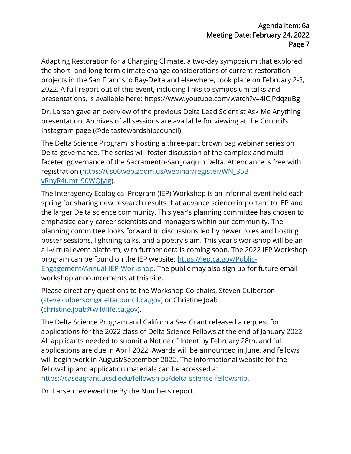Adapting Restoration for a Changing Climate, a two-day symposium that explored the short- and long-term climate change considerations of current restoration projects in the San Francisco Bay-Delta and elsewhere, took place on February 2-3, 2022. A full report-out of this event, including links to symposium talks and presentations, is available here: https://www.youtube.com/watch?v=4ICJPdqzuBg

Dr. Larsen gave an overview of the previous Delta Lead Scientist Ask Me Anything presentation. Archives of all sessions are available for viewing at the Council's Instagram page (@deltastewardshipcouncil).

The Delta Science Program is hosting a three-part brown bag webinar series on Delta governance. The series will foster discussion of the complex and multifaceted governance of the Sacramento-San Joaquin Delta. Attendance is free with registration [\(https://us06web.zoom.us/webinar/register/WN\\_35B](https://us06web.zoom.us/webinar/register/WN_35B-vRhyR4umt_90WQJylg)[vRhyR4umt\\_90WQJylg\)](https://us06web.zoom.us/webinar/register/WN_35B-vRhyR4umt_90WQJylg).

The Interagency Ecological Program (IEP) Workshop is an informal event held each spring for sharing new research results that advance science important to IEP and the larger Delta science community. This year's planning committee has chosen to emphasize early-career scientists and managers within our community. The planning committee looks forward to discussions led by newer roles and hosting poster sessions, lightning talks, and a poetry slam. This year's workshop will be an all-virtual event platform, with further details coming soon. The 2022 IEP Workshop program can be found on the IEP website: [https://iep.ca.gov/Public-](https://iep.ca.gov/Public-Engagement/Annual-IEP-Workshop)[Engagement/Annual-IEP-Workshop.](https://iep.ca.gov/Public-Engagement/Annual-IEP-Workshop) The public may also sign up for future email workshop announcements at this site.

Please direct any questions to the Workshop Co-chairs, Steven Culberson [\(steve.culberson@deltacouncil.ca.gov\)](mailto:steve.culberson@deltacouncil.ca.gov) or Christine Joab [\(christine.joab@wildlife.ca.gov\)](mailto:christine.joab@wildlife.ca.gov).

The Delta Science Program and California Sea Grant released a request for applications for the 2022 class of Delta Science Fellows at the end of January 2022. All applicants needed to submit a Notice of Intent by February 28th, and full applications are due in April 2022. Awards will be announced in June, and fellows will begin work in August/September 2022. The informational website for the fellowship and application materials can be accessed at [https://caseagrant.ucsd.edu/fellowships/delta-science-fellowship.](https://caseagrant.ucsd.edu/fellowships/delta-science-fellowship) 

Dr. Larsen reviewed the By the Numbers report.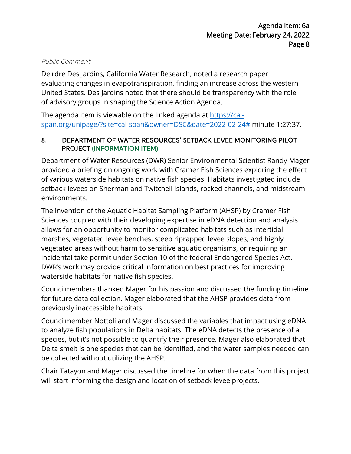#### Public Comment

Deirdre Des Jardins, California Water Research, noted a research paper evaluating changes in evapotranspiration, finding an increase across the western United States. Des Jardins noted that there should be transparency with the role of advisory groups in shaping the Science Action Age[nda.](https://cal-span.org/unipage/?site=cal-span&owner=DSC&date=2022-02-24) 

The agenda item [is viewable on the linked agenda at https://cal](https://cal-span.org/unipage/?site=cal-span&owner=DSC&date=2022-02-24)span.org/unipage/?site=cal-span&owner=DSC&date=2022-02-24# minute 1:27:37.

#### 8. DEPARTMENT OF WATER RESOURCES' SETBACK LEVEE MONITORING PILOT PROJECT (INFORMATION ITEM)

Department of Water Resources (DWR) Senior Environmental Scientist Randy Mager provided a briefing on ongoing work with Cramer Fish Sciences exploring the effect of various waterside habitats on native fish species. Habitats investigated include setback levees on Sherman and Twitchell Islands, rocked channels, and midstream environments.

The invention of the Aquatic Habitat Sampling Platform (AHSP) by Cramer Fish Sciences coupled with their developing expertise in eDNA detection and analysis allows for an opportunity to monitor complicated habitats such as intertidal marshes, vegetated levee benches, steep riprapped levee slopes, and highly vegetated areas without harm to sensitive aquatic organisms, or requiring an incidental take permit under Section 10 of the federal Endangered Species Act. DWR's work may provide critical information on best practices for improving waterside habitats for native fish species.

Councilmembers thanked Mager for his passion and discussed the funding timeline for future data collection. Mager elaborated that the AHSP provides data from previously inaccessible habitats.

Councilmember Nottoli and Mager discussed the variables that impact using eDNA to analyze fish populations in Delta habitats. The eDNA detects the presence of a species, but it's not possible to quantify their presence. Mager also elaborated that Delta smelt is one species that can be identified, and the water samples needed can be collected without utilizing the AHSP.

Chair Tatayon and Mager discussed the timeline for when the data from this project will start informing the design and location of setback levee projects.